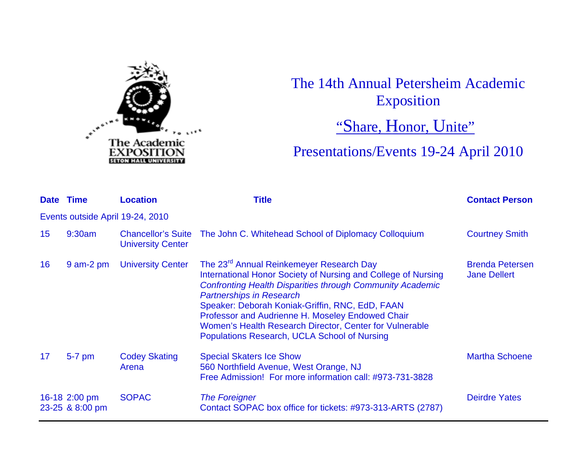

## The 14th Annual Petersheim Academic Exposition

"Share, Honor, Unite"

Presentations/Events 19-24 April 2010

| Date Time       |                                  | <b>Location</b>               | Title                                                                                                                                                                                                                                                                                                                                                                                                                                          | <b>Contact Person</b>                         |  |  |
|-----------------|----------------------------------|-------------------------------|------------------------------------------------------------------------------------------------------------------------------------------------------------------------------------------------------------------------------------------------------------------------------------------------------------------------------------------------------------------------------------------------------------------------------------------------|-----------------------------------------------|--|--|
|                 | Events outside April 19-24, 2010 |                               |                                                                                                                                                                                                                                                                                                                                                                                                                                                |                                               |  |  |
| 15 <sub>1</sub> | 9:30am                           | <b>University Center</b>      | Chancellor's Suite The John C. Whitehead School of Diplomacy Colloquium                                                                                                                                                                                                                                                                                                                                                                        | <b>Courtney Smith</b>                         |  |  |
| 16              | $9$ am-2 pm                      | <b>University Center</b>      | The 23 <sup>rd</sup> Annual Reinkemeyer Research Day<br>International Honor Society of Nursing and College of Nursing<br><b>Confronting Health Disparities through Community Academic</b><br><b>Partnerships in Research</b><br>Speaker: Deborah Koniak-Griffin, RNC, EdD, FAAN<br>Professor and Audrienne H. Moseley Endowed Chair<br>Women's Health Research Director, Center for Vulnerable<br>Populations Research, UCLA School of Nursing | <b>Brenda Petersen</b><br><b>Jane Dellert</b> |  |  |
| 17              | 5-7 pm                           | <b>Codey Skating</b><br>Arena | <b>Special Skaters Ice Show</b><br>560 Northfield Avenue, West Orange, NJ<br>Free Admission! For more information call: #973-731-3828                                                                                                                                                                                                                                                                                                          | <b>Martha Schoene</b>                         |  |  |
|                 | 16-18 2:00 pm<br>23-25 & 8:00 pm | <b>SOPAC</b>                  | <b>The Foreigner</b><br>Contact SOPAC box office for tickets: #973-313-ARTS (2787)                                                                                                                                                                                                                                                                                                                                                             | <b>Deirdre Yates</b>                          |  |  |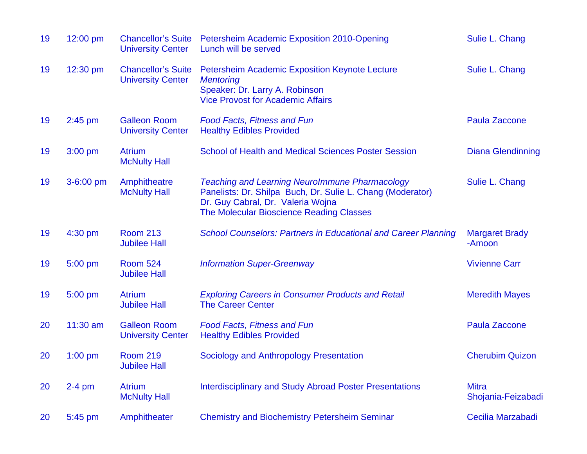| 19 | $12:00$ pm  | <b>Chancellor's Suite</b><br><b>University Center</b> | Petersheim Academic Exposition 2010-Opening<br>Lunch will be served                                                                                                                                  | Sulie L. Chang                     |
|----|-------------|-------------------------------------------------------|------------------------------------------------------------------------------------------------------------------------------------------------------------------------------------------------------|------------------------------------|
| 19 | 12:30 pm    | <b>Chancellor's Suite</b><br><b>University Center</b> | <b>Petersheim Academic Exposition Keynote Lecture</b><br><b>Mentoring</b><br>Speaker: Dr. Larry A. Robinson<br><b>Vice Provost for Academic Affairs</b>                                              | Sulie L. Chang                     |
| 19 | $2:45$ pm   | <b>Galleon Room</b><br><b>University Center</b>       | <b>Food Facts, Fitness and Fun</b><br><b>Healthy Edibles Provided</b>                                                                                                                                | Paula Zaccone                      |
| 19 | $3:00$ pm   | <b>Atrium</b><br><b>McNulty Hall</b>                  | <b>School of Health and Medical Sciences Poster Session</b>                                                                                                                                          | <b>Diana Glendinning</b>           |
| 19 | $3-6:00$ pm | Amphitheatre<br><b>McNulty Hall</b>                   | <b>Teaching and Learning NeuroImmune Pharmacology</b><br>Panelists: Dr. Shilpa Buch, Dr. Sulie L. Chang (Moderator)<br>Dr. Guy Cabral, Dr. Valeria Wojna<br>The Molecular Bioscience Reading Classes | Sulie L. Chang                     |
| 19 | $4:30$ pm   | <b>Room 213</b><br><b>Jubilee Hall</b>                | <b>School Counselors: Partners in Educational and Career Planning</b>                                                                                                                                | <b>Margaret Brady</b><br>-Amoon    |
| 19 | 5:00 pm     | <b>Room 524</b><br><b>Jubilee Hall</b>                | <b>Information Super-Greenway</b>                                                                                                                                                                    | <b>Vivienne Carr</b>               |
| 19 | 5:00 pm     | <b>Atrium</b><br><b>Jubilee Hall</b>                  | <b>Exploring Careers in Consumer Products and Retail</b><br><b>The Career Center</b>                                                                                                                 | <b>Meredith Mayes</b>              |
| 20 | $11:30$ am  | <b>Galleon Room</b><br><b>University Center</b>       | <b>Food Facts, Fitness and Fun</b><br><b>Healthy Edibles Provided</b>                                                                                                                                | <b>Paula Zaccone</b>               |
| 20 | $1:00$ pm   | <b>Room 219</b><br><b>Jubilee Hall</b>                | Sociology and Anthropology Presentation                                                                                                                                                              | <b>Cherubim Quizon</b>             |
| 20 | $2-4$ pm    | <b>Atrium</b><br><b>McNulty Hall</b>                  | <b>Interdisciplinary and Study Abroad Poster Presentations</b>                                                                                                                                       | <b>Mitra</b><br>Shojania-Feizabadi |
|    |             |                                                       |                                                                                                                                                                                                      |                                    |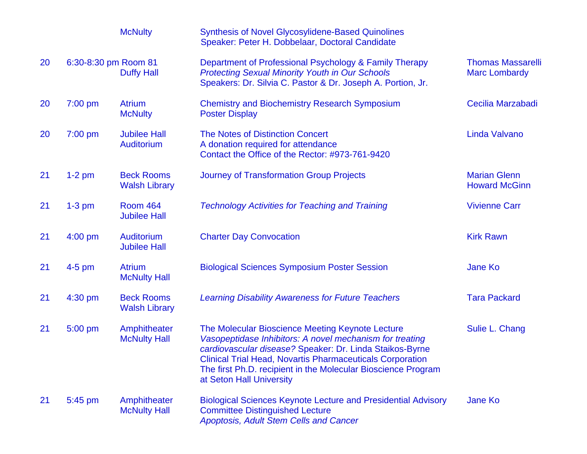|    |                      | <b>McNulty</b>                            | <b>Synthesis of Novel Glycosylidene-Based Quinolines</b><br>Speaker: Peter H. Dobbelaar, Doctoral Candidate                                                                                                                                                                                                                               |                                                  |
|----|----------------------|-------------------------------------------|-------------------------------------------------------------------------------------------------------------------------------------------------------------------------------------------------------------------------------------------------------------------------------------------------------------------------------------------|--------------------------------------------------|
| 20 | 6:30-8:30 pm Room 81 | <b>Duffy Hall</b>                         | Department of Professional Psychology & Family Therapy<br><b>Protecting Sexual Minority Youth in Our Schools</b><br>Speakers: Dr. Silvia C. Pastor & Dr. Joseph A. Portion, Jr.                                                                                                                                                           | <b>Thomas Massarelli</b><br><b>Marc Lombardy</b> |
| 20 | $7:00$ pm            | <b>Atrium</b><br><b>McNulty</b>           | <b>Chemistry and Biochemistry Research Symposium</b><br><b>Poster Display</b>                                                                                                                                                                                                                                                             | Cecilia Marzabadi                                |
| 20 | $7:00$ pm            | <b>Jubilee Hall</b><br><b>Auditorium</b>  | <b>The Notes of Distinction Concert</b><br>A donation required for attendance<br>Contact the Office of the Rector: #973-761-9420                                                                                                                                                                                                          | Linda Valvano                                    |
| 21 | $1-2$ pm             | <b>Beck Rooms</b><br><b>Walsh Library</b> | <b>Journey of Transformation Group Projects</b>                                                                                                                                                                                                                                                                                           | <b>Marian Glenn</b><br><b>Howard McGinn</b>      |
| 21 | $1-3$ pm             | <b>Room 464</b><br><b>Jubilee Hall</b>    | <b>Technology Activities for Teaching and Training</b>                                                                                                                                                                                                                                                                                    | <b>Vivienne Carr</b>                             |
| 21 | 4:00 pm              | Auditorium<br><b>Jubilee Hall</b>         | <b>Charter Day Convocation</b>                                                                                                                                                                                                                                                                                                            | <b>Kirk Rawn</b>                                 |
| 21 | $4-5$ pm             | <b>Atrium</b><br><b>McNulty Hall</b>      | <b>Biological Sciences Symposium Poster Session</b>                                                                                                                                                                                                                                                                                       | <b>Jane Ko</b>                                   |
| 21 | 4:30 pm              | <b>Beck Rooms</b><br><b>Walsh Library</b> | <b>Learning Disability Awareness for Future Teachers</b>                                                                                                                                                                                                                                                                                  | <b>Tara Packard</b>                              |
| 21 | 5:00 pm              | Amphitheater<br><b>McNulty Hall</b>       | The Molecular Bioscience Meeting Keynote Lecture<br>Vasopeptidase Inhibitors: A novel mechanism for treating<br>cardiovascular disease? Speaker: Dr. Linda Staikos-Byrne<br><b>Clinical Trial Head, Novartis Pharmaceuticals Corporation</b><br>The first Ph.D. recipient in the Molecular Bioscience Program<br>at Seton Hall University | Sulie L. Chang                                   |
| 21 | 5:45 pm              | Amphitheater<br><b>McNulty Hall</b>       | <b>Biological Sciences Keynote Lecture and Presidential Advisory</b><br><b>Committee Distinguished Lecture</b><br>Apoptosis, Adult Stem Cells and Cancer                                                                                                                                                                                  | Jane Ko                                          |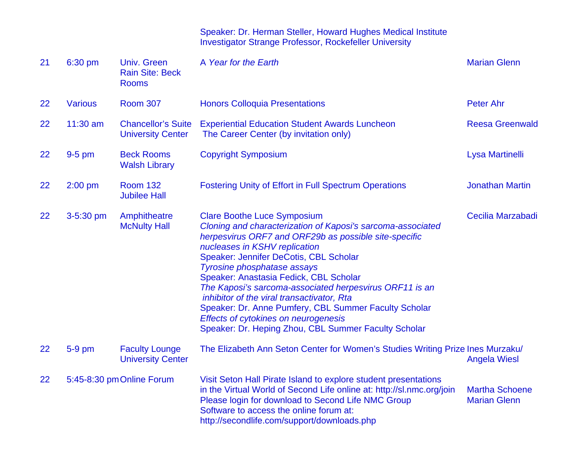## Speaker: Dr. Herman Steller, Howard Hughes Medical Institute Investigator Strange Professor, Rockefeller University

| 21 | 6:30 pm        | <b>Univ. Green</b><br><b>Rain Site: Beck</b><br><b>Rooms</b> | A Year for the Earth                                                                                                                                                                                                                                                                                                                                                                                                                                                                                                                                                                    | <b>Marian Glenn</b>                          |
|----|----------------|--------------------------------------------------------------|-----------------------------------------------------------------------------------------------------------------------------------------------------------------------------------------------------------------------------------------------------------------------------------------------------------------------------------------------------------------------------------------------------------------------------------------------------------------------------------------------------------------------------------------------------------------------------------------|----------------------------------------------|
| 22 | <b>Various</b> | <b>Room 307</b>                                              | <b>Honors Colloquia Presentations</b>                                                                                                                                                                                                                                                                                                                                                                                                                                                                                                                                                   | <b>Peter Ahr</b>                             |
| 22 | $11:30$ am     | <b>Chancellor's Suite</b><br><b>University Center</b>        | <b>Experiential Education Student Awards Luncheon</b><br>The Career Center (by invitation only)                                                                                                                                                                                                                                                                                                                                                                                                                                                                                         | <b>Reesa Greenwald</b>                       |
| 22 | $9-5$ pm       | <b>Beck Rooms</b><br><b>Walsh Library</b>                    | <b>Copyright Symposium</b>                                                                                                                                                                                                                                                                                                                                                                                                                                                                                                                                                              | Lysa Martinelli                              |
| 22 | $2:00$ pm      | <b>Room 132</b><br><b>Jubilee Hall</b>                       | <b>Fostering Unity of Effort in Full Spectrum Operations</b>                                                                                                                                                                                                                                                                                                                                                                                                                                                                                                                            | <b>Jonathan Martin</b>                       |
| 22 | 3-5:30 pm      | Amphitheatre<br><b>McNulty Hall</b>                          | <b>Clare Boothe Luce Symposium</b><br>Cloning and characterization of Kaposi's sarcoma-associated<br>herpesvirus ORF7 and ORF29b as possible site-specific<br>nucleases in KSHV replication<br>Speaker: Jennifer DeCotis, CBL Scholar<br><b>Tyrosine phosphatase assays</b><br>Speaker: Anastasia Fedick, CBL Scholar<br>The Kaposi's sarcoma-associated herpesvirus ORF11 is an<br>inhibitor of the viral transactivator, Rta<br>Speaker: Dr. Anne Pumfery, CBL Summer Faculty Scholar<br>Effects of cytokines on neurogenesis<br>Speaker: Dr. Heping Zhou, CBL Summer Faculty Scholar | Cecilia Marzabadi                            |
| 22 | 5-9 pm         | <b>Faculty Lounge</b><br><b>University Center</b>            | The Elizabeth Ann Seton Center for Women's Studies Writing Prize Ines Murzaku/                                                                                                                                                                                                                                                                                                                                                                                                                                                                                                          | <b>Angela Wiesl</b>                          |
| 22 |                | 5:45-8:30 pm Online Forum                                    | Visit Seton Hall Pirate Island to explore student presentations<br>in the Virtual World of Second Life online at: http://sl.nmc.org/join<br>Please login for download to Second Life NMC Group<br>Software to access the online forum at:<br>http://secondlife.com/support/downloads.php                                                                                                                                                                                                                                                                                                | <b>Martha Schoene</b><br><b>Marian Glenn</b> |